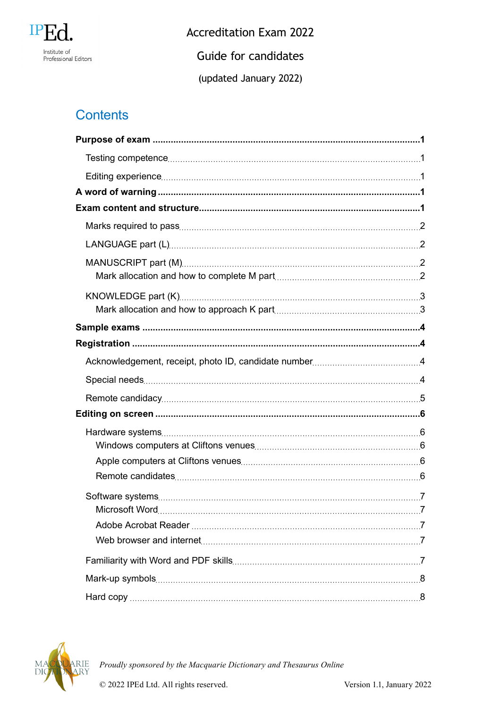

**Accreditation Exam 2022** Guide for candidates

(updated January 2022)

# **Contents**

| <b>T</b> |  |
|----------|--|
|          |  |
|          |  |
|          |  |
|          |  |

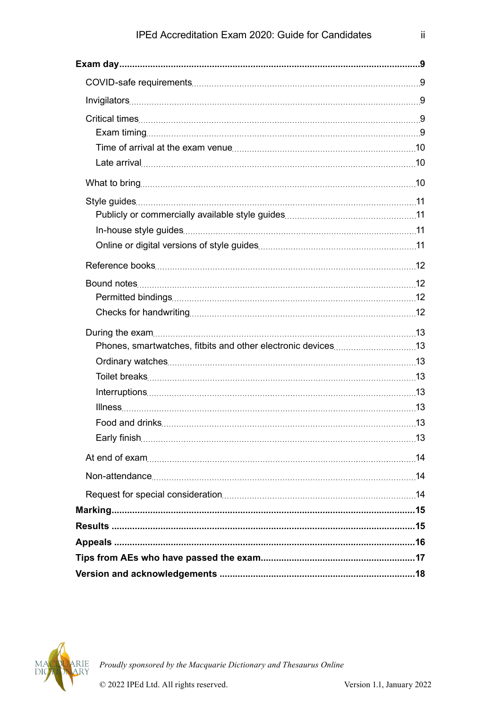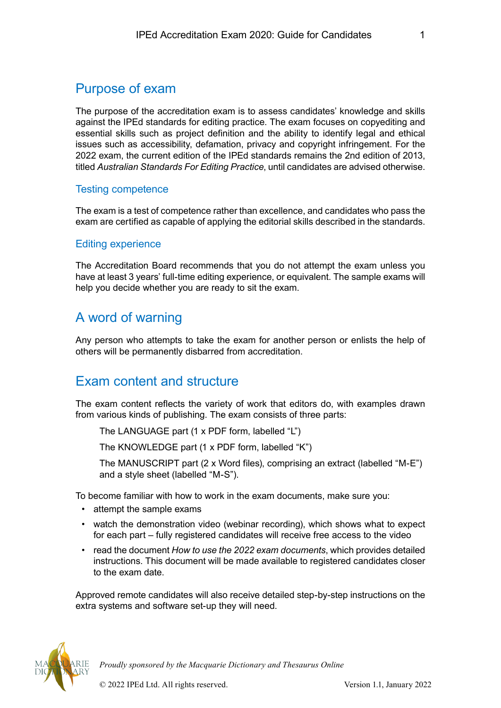# <span id="page-2-0"></span>Purpose of exam

The purpose of the accreditation exam is to assess candidates' knowledge and skills against the IPEd standards for editing practice. The exam focuses on copyediting and essential skills such as project definition and the ability to identify legal and ethical issues such as accessibility, defamation, privacy and copyright infringement. For the 2022 exam, the current edition of the IPEd standards remains the 2nd edition of 2013, titled *Australian Standards For Editing Practice*, until candidates are advised otherwise.

## Testing competence

The exam is a test of competence rather than excellence, and candidates who pass the exam are certified as capable of applying the editorial skills described in the standards.

#### Editing experience

The Accreditation Board recommends that you do not attempt the exam unless you have at least 3 years' full-time editing experience, or equivalent. The sample exams will help you decide whether you are ready to sit the exam.

# A word of warning

Any person who attempts to take the exam for another person or enlists the help of others will be permanently disbarred from accreditation.

# Exam content and structure

The exam content reflects the variety of work that editors do, with examples drawn from various kinds of publishing. The exam consists of three parts:

The LANGUAGE part (1 x PDF form, labelled "L")

The KNOWLEDGE part (1 x PDF form, labelled "K")

The MANUSCRIPT part (2 x Word files), comprising an extract (labelled "M-E") and a style sheet (labelled "M-S").

To become familiar with how to work in the exam documents, make sure you:

- attempt the sample exams
- watch the demonstration video (webinar recording), which shows what to expect for each part – fully registered candidates will receive free access to the video
- read the document *How to use the 2022 exam documents*, which provides detailed instructions. This document will be made available to registered candidates closer to the exam date.

Approved remote candidates will also receive detailed step-by-step instructions on the extra systems and software set-up they will need.

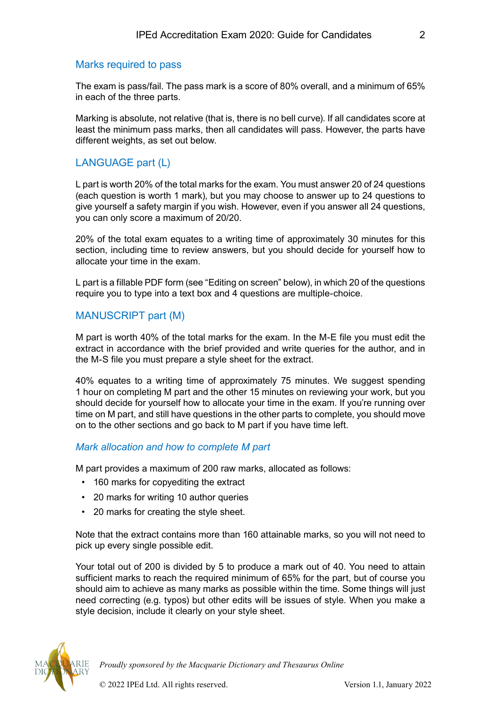#### <span id="page-3-0"></span>Marks required to pass

The exam is pass/fail. The pass mark is a score of 80% overall, and a minimum of 65% in each of the three parts.

Marking is absolute, not relative (that is, there is no bell curve). If all candidates score at least the minimum pass marks, then all candidates will pass. However, the parts have different weights, as set out below.

# LANGUAGE part (L)

L part is worth 20% of the total marks for the exam. You must answer 20 of 24 questions (each question is worth 1 mark), but you may choose to answer up to 24 questions to give yourself a safety margin if you wish. However, even if you answer all 24 questions, you can only score a maximum of 20/20.

20% of the total exam equates to a writing time of approximately 30 minutes for this section, including time to review answers, but you should decide for yourself how to allocate your time in the exam.

L part is a fillable PDF form (see "Editing on screen" below), in which 20 of the questions require you to type into a text box and 4 questions are multiple-choice.

# MANUSCRIPT part (M)

M part is worth 40% of the total marks for the exam. In the M-E file you must edit the extract in accordance with the brief provided and write queries for the author, and in the M-S file you must prepare a style sheet for the extract.

40% equates to a writing time of approximately 75 minutes. We suggest spending 1 hour on completing M part and the other 15 minutes on reviewing your work, but you should decide for yourself how to allocate your time in the exam. If you're running over time on M part, and still have questions in the other parts to complete, you should move on to the other sections and go back to M part if you have time left.

#### *Mark allocation and how to complete M part*

M part provides a maximum of 200 raw marks, allocated as follows:

- 160 marks for copyediting the extract
- 20 marks for writing 10 author queries
- 20 marks for creating the style sheet.

Note that the extract contains more than 160 attainable marks, so you will not need to pick up every single possible edit.

Your total out of 200 is divided by 5 to produce a mark out of 40. You need to attain sufficient marks to reach the required minimum of 65% for the part, but of course you should aim to achieve as many marks as possible within the time. Some things will just need correcting (e.g. typos) but other edits will be issues of style. When you make a style decision, include it clearly on your style sheet.

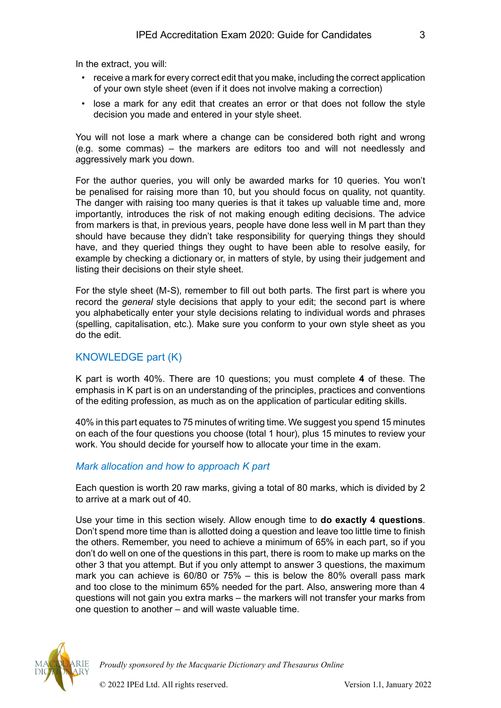<span id="page-4-0"></span>In the extract, you will:

- receive a mark for every correct edit that you make, including the correct application of your own style sheet (even if it does not involve making a correction)
- lose a mark for any edit that creates an error or that does not follow the style decision you made and entered in your style sheet.

You will not lose a mark where a change can be considered both right and wrong (e.g. some commas) – the markers are editors too and will not needlessly and aggressively mark you down.

For the author queries, you will only be awarded marks for 10 queries. You won't be penalised for raising more than 10, but you should focus on quality, not quantity. The danger with raising too many queries is that it takes up valuable time and, more importantly, introduces the risk of not making enough editing decisions. The advice from markers is that, in previous years, people have done less well in M part than they should have because they didn't take responsibility for querying things they should have, and they queried things they ought to have been able to resolve easily, for example by checking a dictionary or, in matters of style, by using their judgement and listing their decisions on their style sheet.

For the style sheet (M-S), remember to fill out both parts. The first part is where you record the *general* style decisions that apply to your edit; the second part is where you alphabetically enter your style decisions relating to individual words and phrases (spelling, capitalisation, etc.). Make sure you conform to your own style sheet as you do the edit.

## KNOWLEDGE part (K)

K part is worth 40%. There are 10 questions; you must complete **4** of these. The emphasis in K part is on an understanding of the principles, practices and conventions of the editing profession, as much as on the application of particular editing skills.

40% in this part equates to 75 minutes of writing time. We suggest you spend 15 minutes on each of the four questions you choose (total 1 hour), plus 15 minutes to review your work. You should decide for yourself how to allocate your time in the exam.

## *Mark allocation and how to approach K part*

Each question is worth 20 raw marks, giving a total of 80 marks, which is divided by 2 to arrive at a mark out of 40.

Use your time in this section wisely. Allow enough time to **do exactly 4 questions**. Don't spend more time than is allotted doing a question and leave too little time to finish the others. Remember, you need to achieve a minimum of 65% in each part, so if you don't do well on one of the questions in this part, there is room to make up marks on the other 3 that you attempt. But if you only attempt to answer 3 questions, the maximum mark you can achieve is 60/80 or 75% – this is below the 80% overall pass mark and too close to the minimum 65% needed for the part. Also, answering more than 4 questions will not gain you extra marks – the markers will not transfer your marks from one question to another – and will waste valuable time.

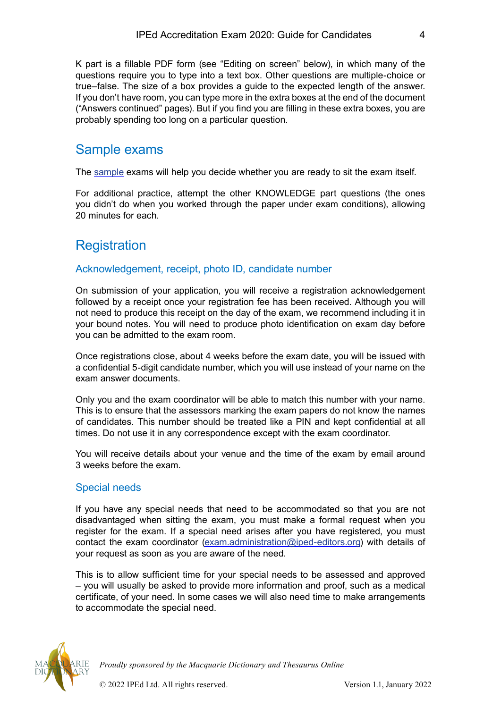<span id="page-5-0"></span>K part is a fillable PDF form (see "Editing on screen" below), in which many of the questions require you to type into a text box. Other questions are multiple-choice or true–false. The size of a box provides a guide to the expected length of the answer. If you don't have room, you can type more in the extra boxes at the end of the document ("Answers continued" pages). But if you find you are filling in these extra boxes, you are probably spending too long on a particular question.

# Sample exams

The [sample](https://www.iped-editors.org/accreditation-scheme/iped-accreditation-exam/sample-exams/) exams will help you decide whether you are ready to sit the exam itself.

For additional practice, attempt the other KNOWLEDGE part questions (the ones you didn't do when you worked through the paper under exam conditions), allowing 20 minutes for each.

# **Registration**

# Acknowledgement, receipt, photo ID, candidate number

On submission of your application, you will receive a registration acknowledgement followed by a receipt once your registration fee has been received. Although you will not need to produce this receipt on the day of the exam, we recommend including it in your bound notes. You will need to produce photo identification on exam day before you can be admitted to the exam room.

Once registrations close, about 4 weeks before the exam date, you will be issued with a confidential 5-digit candidate number, which you will use instead of your name on the exam answer documents.

Only you and the exam coordinator will be able to match this number with your name. This is to ensure that the assessors marking the exam papers do not know the names of candidates. This number should be treated like a PIN and kept confidential at all times. Do not use it in any correspondence except with the exam coordinator.

You will receive details about your venue and the time of the exam by email around 3 weeks before the exam.

## Special needs

If you have any special needs that need to be accommodated so that you are not disadvantaged when sitting the exam, you must make a formal request when you register for the exam. If a special need arises after you have registered, you must contact the exam coordinator [\(exam.administration@iped-editors.org](mailto:exam.administration%40iped-editors.org?subject=)) with details of your request as soon as you are aware of the need.

This is to allow sufficient time for your special needs to be assessed and approved – you will usually be asked to provide more information and proof, such as a medical certificate, of your need. In some cases we will also need time to make arrangements to accommodate the special need.

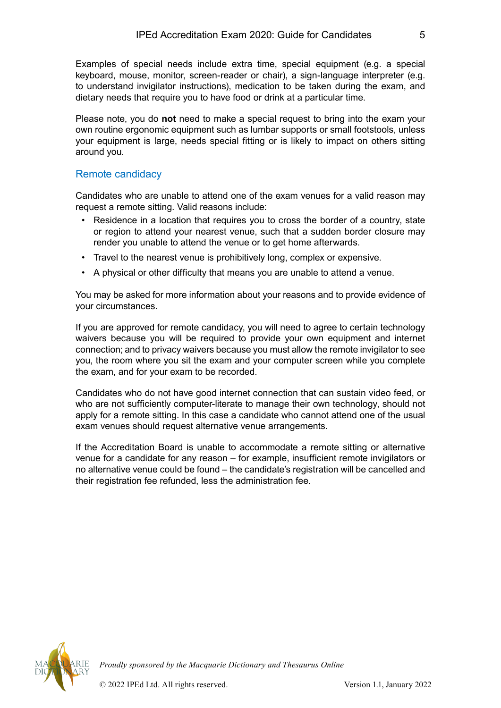<span id="page-6-0"></span>Examples of special needs include extra time, special equipment (e.g. a special keyboard, mouse, monitor, screen-reader or chair), a sign-language interpreter (e.g. to understand invigilator instructions), medication to be taken during the exam, and dietary needs that require you to have food or drink at a particular time.

Please note, you do **not** need to make a special request to bring into the exam your own routine ergonomic equipment such as lumbar supports or small footstools, unless your equipment is large, needs special fitting or is likely to impact on others sitting around you.

#### Remote candidacy

Candidates who are unable to attend one of the exam venues for a valid reason may request a remote sitting. Valid reasons include:

- Residence in a location that requires you to cross the border of a country, state or region to attend your nearest venue, such that a sudden border closure may render you unable to attend the venue or to get home afterwards.
- Travel to the nearest venue is prohibitively long, complex or expensive.
- A physical or other difficulty that means you are unable to attend a venue.

You may be asked for more information about your reasons and to provide evidence of your circumstances.

If you are approved for remote candidacy, you will need to agree to certain technology waivers because you will be required to provide your own equipment and internet connection; and to privacy waivers because you must allow the remote invigilator to see you, the room where you sit the exam and your computer screen while you complete the exam, and for your exam to be recorded.

Candidates who do not have good internet connection that can sustain video feed, or who are not sufficiently computer-literate to manage their own technology, should not apply for a remote sitting. In this case a candidate who cannot attend one of the usual exam venues should request alternative venue arrangements.

If the Accreditation Board is unable to accommodate a remote sitting or alternative venue for a candidate for any reason – for example, insufficient remote invigilators or no alternative venue could be found – the candidate's registration will be cancelled and their registration fee refunded, less the administration fee.

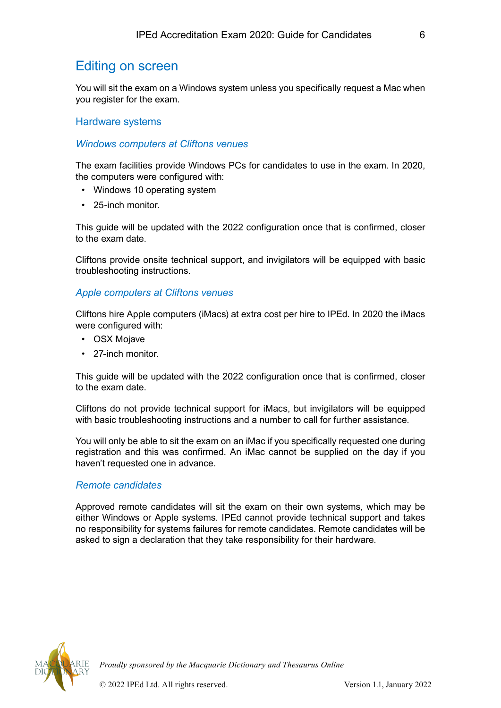# <span id="page-7-0"></span>Editing on screen

You will sit the exam on a Windows system unless you specifically request a Mac when you register for the exam.

#### Hardware systems

#### *Windows computers at Cliftons venues*

The exam facilities provide Windows PCs for candidates to use in the exam. In 2020, the computers were configured with:

- Windows 10 operating system
- 25-inch monitor.

This guide will be updated with the 2022 configuration once that is confirmed, closer to the exam date.

Cliftons provide onsite technical support, and invigilators will be equipped with basic troubleshooting instructions.

#### *Apple computers at Cliftons venues*

Cliftons hire Apple computers (iMacs) at extra cost per hire to IPEd. In 2020 the iMacs were configured with:

- OSX Mojave
- 27-inch monitor.

This guide will be updated with the 2022 configuration once that is confirmed, closer to the exam date.

Cliftons do not provide technical support for iMacs, but invigilators will be equipped with basic troubleshooting instructions and a number to call for further assistance.

You will only be able to sit the exam on an iMac if you specifically requested one during registration and this was confirmed. An iMac cannot be supplied on the day if you haven't requested one in advance.

#### *Remote candidates*

Approved remote candidates will sit the exam on their own systems, which may be either Windows or Apple systems. IPEd cannot provide technical support and takes no responsibility for systems failures for remote candidates. Remote candidates will be asked to sign a declaration that they take responsibility for their hardware.

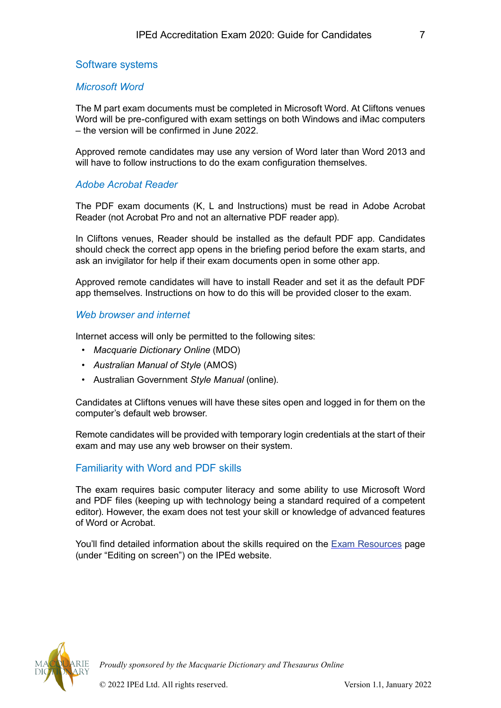## <span id="page-8-0"></span>Software systems

#### *Microsoft Word*

The M part exam documents must be completed in Microsoft Word. At Cliftons venues Word will be pre-configured with exam settings on both Windows and iMac computers – the version will be confirmed in June 2022.

Approved remote candidates may use any version of Word later than Word 2013 and will have to follow instructions to do the exam configuration themselves.

#### *Adobe Acrobat Reader*

The PDF exam documents (K, L and Instructions) must be read in Adobe Acrobat Reader (not Acrobat Pro and not an alternative PDF reader app).

In Cliftons venues, Reader should be installed as the default PDF app. Candidates should check the correct app opens in the briefing period before the exam starts, and ask an invigilator for help if their exam documents open in some other app.

Approved remote candidates will have to install Reader and set it as the default PDF app themselves. Instructions on how to do this will be provided closer to the exam.

#### *Web browser and internet*

Internet access will only be permitted to the following sites:

- *Macquarie Dictionary Online* (MDO)
- *Australian Manual of Style* (AMOS)
- Australian Government *Style Manual* (online).

Candidates at Cliftons venues will have these sites open and logged in for them on the computer's default web browser.

Remote candidates will be provided with temporary login credentials at the start of their exam and may use any web browser on their system.

## Familiarity with Word and PDF skills

The exam requires basic computer literacy and some ability to use Microsoft Word and PDF files (keeping up with technology being a standard required of a competent editor). However, the exam does not test your skill or knowledge of advanced features of Word or Acrobat.

You'll find detailed information about the skills required on the **Exam Resources** page (under "Editing on screen") on the IPEd website.

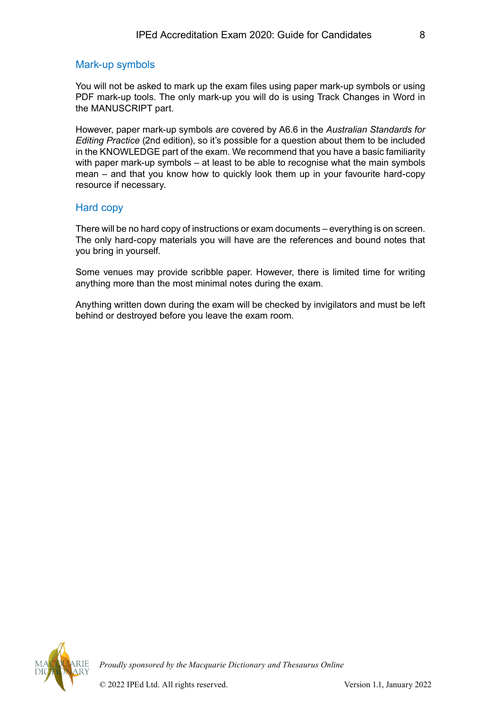#### <span id="page-9-0"></span>Mark-up symbols

You will not be asked to mark up the exam files using paper mark-up symbols or using PDF mark-up tools. The only mark-up you will do is using Track Changes in Word in the MANUSCRIPT part.

However, paper mark-up symbols *are* covered by A6.6 in the *Australian Standards for Editing Practice* (2nd edition), so it's possible for a question about them to be included in the KNOWLEDGE part of the exam. We recommend that you have a basic familiarity with paper mark-up symbols – at least to be able to recognise what the main symbols mean – and that you know how to quickly look them up in your favourite hard-copy resource if necessary.

#### Hard copy

There will be no hard copy of instructions or exam documents – everything is on screen. The only hard-copy materials you will have are the references and bound notes that you bring in yourself.

Some venues may provide scribble paper. However, there is limited time for writing anything more than the most minimal notes during the exam.

Anything written down during the exam will be checked by invigilators and must be left behind or destroyed before you leave the exam room.

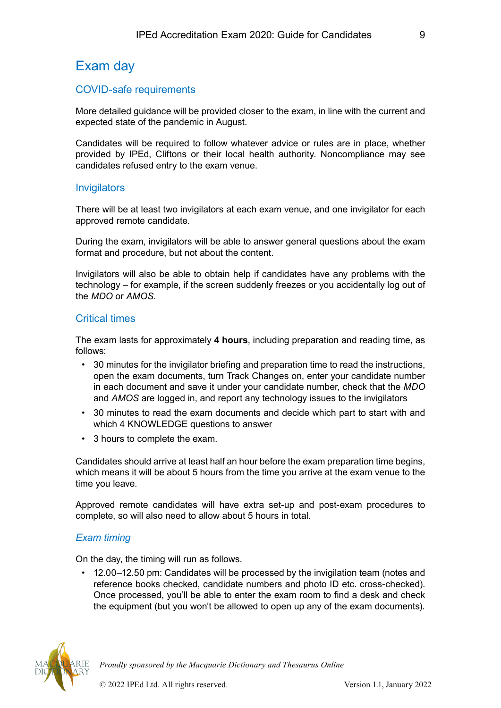# <span id="page-10-0"></span>Exam day

# COVID-safe requirements

More detailed guidance will be provided closer to the exam, in line with the current and expected state of the pandemic in August.

Candidates will be required to follow whatever advice or rules are in place, whether provided by IPEd, Cliftons or their local health authority. Noncompliance may see candidates refused entry to the exam venue.

## **Invigilators**

There will be at least two invigilators at each exam venue, and one invigilator for each approved remote candidate.

During the exam, invigilators will be able to answer general questions about the exam format and procedure, but not about the content.

Invigilators will also be able to obtain help if candidates have any problems with the technology – for example, if the screen suddenly freezes or you accidentally log out of the *MDO* or *AMOS*.

## Critical times

The exam lasts for approximately **4 hours**, including preparation and reading time, as follows:

- 30 minutes for the invigilator briefing and preparation time to read the instructions, open the exam documents, turn Track Changes on, enter your candidate number in each document and save it under your candidate number, check that the *MDO* and *AMOS* are logged in, and report any technology issues to the invigilators
- 30 minutes to read the exam documents and decide which part to start with and which 4 KNOWLEDGE questions to answer
- 3 hours to complete the exam.

Candidates should arrive at least half an hour before the exam preparation time begins, which means it will be about 5 hours from the time you arrive at the exam venue to the time you leave.

Approved remote candidates will have extra set-up and post-exam procedures to complete, so will also need to allow about 5 hours in total.

## *Exam timing*

On the day, the timing will run as follows.

• 12.00–12.50 pm: Candidates will be processed by the invigilation team (notes and reference books checked, candidate numbers and photo ID etc. cross-checked). Once processed, you'll be able to enter the exam room to find a desk and check the equipment (but you won't be allowed to open up any of the exam documents).

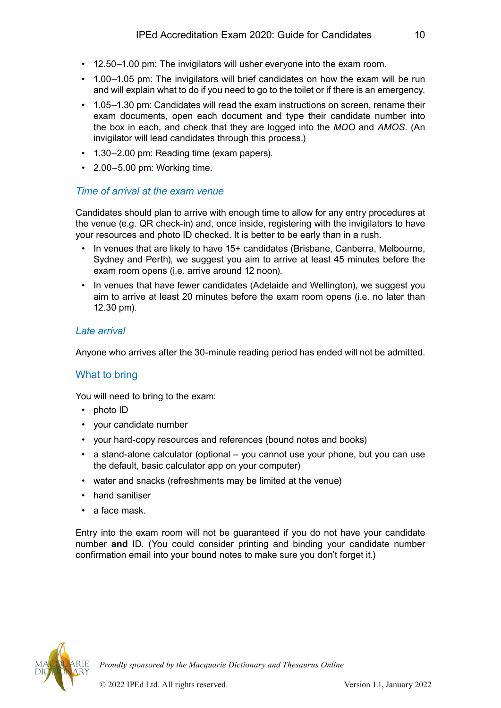- <span id="page-11-0"></span>• 12.50–1.00 pm: The invigilators will usher everyone into the exam room.
- 1.00–1.05 pm: The invigilators will brief candidates on how the exam will be run and will explain what to do if you need to go to the toilet or if there is an emergency.
- 1.05–1.30 pm: Candidates will read the exam instructions on screen, rename their exam documents, open each document and type their candidate number into the box in each, and check that they are logged into the *MDO* and *AMOS*. (An invigilator will lead candidates through this process.)
- 1.30–2.00 pm: Reading time (exam papers).
- 2.00–5.00 pm: Working time.

## *Time of arrival at the exam venue*

Candidates should plan to arrive with enough time to allow for any entry procedures at the venue (e.g. QR check-in) and, once inside, registering with the invigilators to have your resources and photo ID checked. It is better to be early than in a rush.

- In venues that are likely to have 15+ candidates (Brisbane, Canberra, Melbourne, Sydney and Perth), we suggest you aim to arrive at least 45 minutes before the exam room opens (i.e. arrive around 12 noon).
- In venues that have fewer candidates (Adelaide and Wellington), we suggest you aim to arrive at least 20 minutes before the exam room opens (i.e. no later than 12.30 pm).

# *Late arrival*

Anyone who arrives after the 30-minute reading period has ended will not be admitted.

# What to bring

You will need to bring to the exam:

- photo ID
- your candidate number
- your hard-copy resources and references (bound notes and books)
- a stand-alone calculator (optional you cannot use your phone, but you can use the default, basic calculator app on your computer)
- water and snacks (refreshments may be limited at the venue)
- hand sanitiser
- a face mask.

Entry into the exam room will not be guaranteed if you do not have your candidate number **and** ID. (You could consider printing and binding your candidate number confirmation email into your bound notes to make sure you don't forget it.)

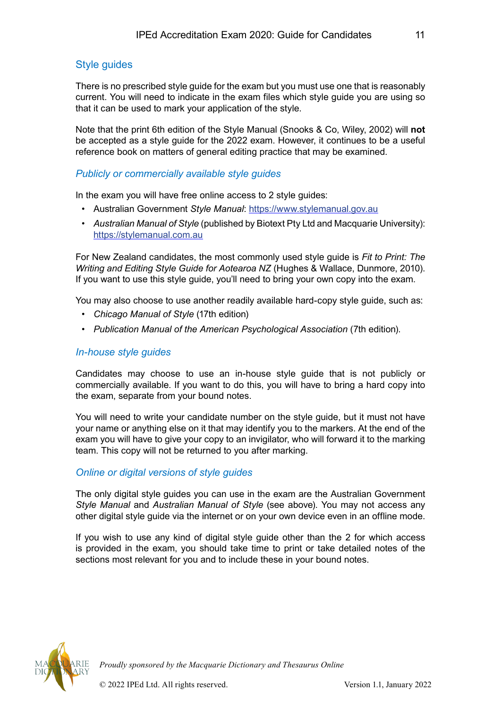# <span id="page-12-0"></span>Style guides

There is no prescribed style guide for the exam but you must use one that is reasonably current. You will need to indicate in the exam files which style guide you are using so that it can be used to mark your application of the style.

Note that the print 6th edition of the Style Manual (Snooks & Co, Wiley, 2002) will **not** be accepted as a style guide for the 2022 exam. However, it continues to be a useful reference book on matters of general editing practice that may be examined.

## *Publicly or commercially available style guides*

In the exam you will have free online access to 2 style guides:

- Australian Government *Style Manual*: <https://www.stylemanual.gov.au>
- *Australian Manual of Style* (published by Biotext Pty Ltd and Macquarie University): <https://stylemanual.com.au>

For New Zealand candidates, the most commonly used style guide is *Fit to Print: The Writing and Editing Style Guide for Aotearoa NZ* (Hughes & Wallace, Dunmore, 2010). If you want to use this style guide, you'll need to bring your own copy into the exam.

You may also choose to use another readily available hard-copy style guide, such as:

- *Chicago Manual of Style* (17th edition)
- *Publication Manual of the American Psychological Association* (7th edition).

#### *In-house style guides*

Candidates may choose to use an in-house style guide that is not publicly or commercially available. If you want to do this, you will have to bring a hard copy into the exam, separate from your bound notes.

You will need to write your candidate number on the style guide, but it must not have your name or anything else on it that may identify you to the markers. At the end of the exam you will have to give your copy to an invigilator, who will forward it to the marking team. This copy will not be returned to you after marking.

#### *Online or digital versions of style guides*

The only digital style guides you can use in the exam are the Australian Government *Style Manual* and *Australian Manual of Style* (see above). You may not access any other digital style guide via the internet or on your own device even in an offline mode.

If you wish to use any kind of digital style guide other than the 2 for which access is provided in the exam, you should take time to print or take detailed notes of the sections most relevant for you and to include these in your bound notes.

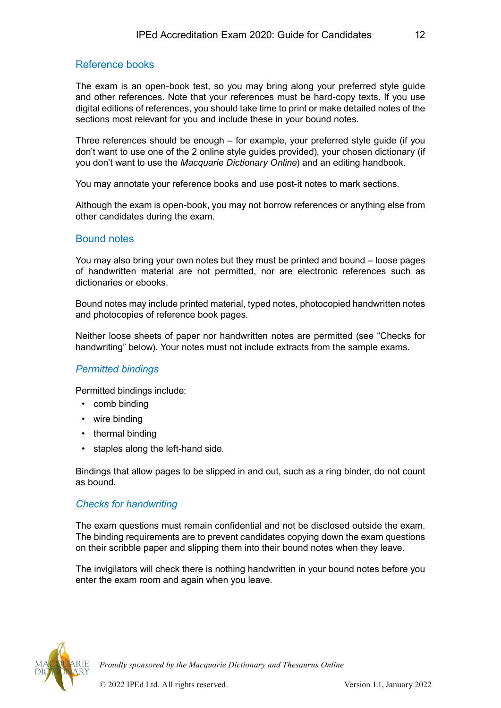# <span id="page-13-0"></span>Reference books

The exam is an open-book test, so you may bring along your preferred style guide and other references. Note that your references must be hard-copy texts. If you use digital editions of references, you should take time to print or make detailed notes of the sections most relevant for you and include these in your bound notes.

Three references should be enough – for example, your preferred style guide (if you don't want to use one of the 2 online style guides provided), your chosen dictionary (if you don't want to use the *Macquarie Dictionary Online*) and an editing handbook.

You may annotate your reference books and use post-it notes to mark sections.

Although the exam is open-book, you may not borrow references or anything else from other candidates during the exam.

## Bound notes

You may also bring your own notes but they must be printed and bound – loose pages of handwritten material are not permitted, nor are electronic references such as dictionaries or ebooks.

Bound notes may include printed material, typed notes, photocopied handwritten notes and photocopies of reference book pages.

Neither loose sheets of paper nor handwritten notes are permitted (see "Checks for handwriting" below). Your notes must not include extracts from the sample exams.

#### *Permitted bindings*

Permitted bindings include:

- comb binding
- wire binding
- thermal binding
- staples along the left-hand side.

Bindings that allow pages to be slipped in and out, such as a ring binder, do not count as bound.

## *Checks for handwriting*

The exam questions must remain confidential and not be disclosed outside the exam. The binding requirements are to prevent candidates copying down the exam questions on their scribble paper and slipping them into their bound notes when they leave.

The invigilators will check there is nothing handwritten in your bound notes before you enter the exam room and again when you leave.

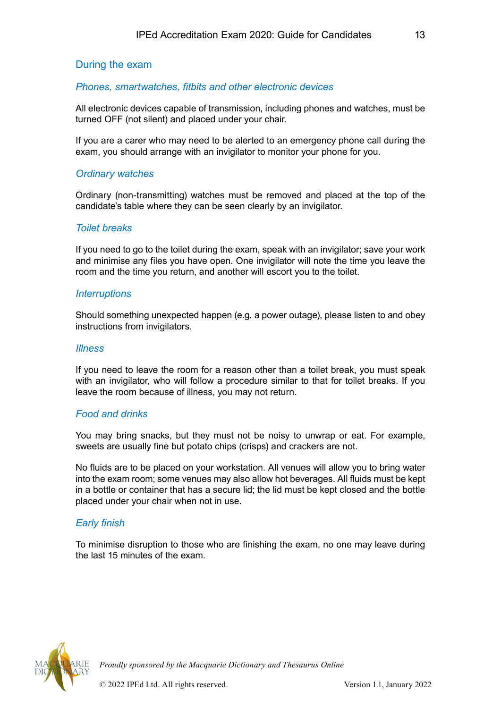# <span id="page-14-0"></span>During the exam

## *Phones, smartwatches, fitbits and other electronic devices*

All electronic devices capable of transmission, including phones and watches, must be turned OFF (not silent) and placed under your chair.

If you are a carer who may need to be alerted to an emergency phone call during the exam, you should arrange with an invigilator to monitor your phone for you.

#### *Ordinary watches*

Ordinary (non-transmitting) watches must be removed and placed at the top of the candidate's table where they can be seen clearly by an invigilator.

#### *Toilet breaks*

If you need to go to the toilet during the exam, speak with an invigilator; save your work and minimise any files you have open. One invigilator will note the time you leave the room and the time you return, and another will escort you to the toilet.

#### *Interruptions*

Should something unexpected happen (e.g. a power outage), please listen to and obey instructions from invigilators.

#### *Illness*

If you need to leave the room for a reason other than a toilet break, you must speak with an invigilator, who will follow a procedure similar to that for toilet breaks. If you leave the room because of illness, you may not return.

#### *Food and drinks*

You may bring snacks, but they must not be noisy to unwrap or eat. For example, sweets are usually fine but potato chips (crisps) and crackers are not.

No fluids are to be placed on your workstation. All venues will allow you to bring water into the exam room; some venues may also allow hot beverages. All fluids must be kept in a bottle or container that has a secure lid; the lid must be kept closed and the bottle placed under your chair when not in use.

#### *Early finish*

To minimise disruption to those who are finishing the exam, no one may leave during the last 15 minutes of the exam.

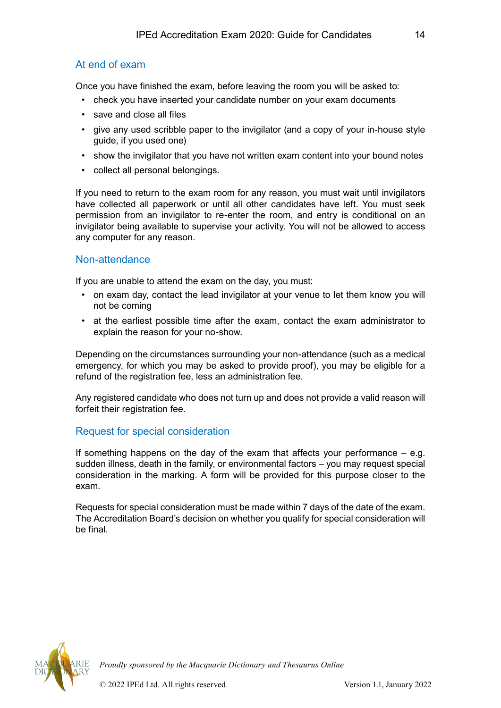# <span id="page-15-0"></span>At end of exam

Once you have finished the exam, before leaving the room you will be asked to:

- check you have inserted your candidate number on your exam documents
- save and close all files
- give any used scribble paper to the invigilator (and a copy of your in-house style guide, if you used one)
- show the invigilator that you have not written exam content into your bound notes
- collect all personal belongings.

If you need to return to the exam room for any reason, you must wait until invigilators have collected all paperwork or until all other candidates have left. You must seek permission from an invigilator to re-enter the room, and entry is conditional on an invigilator being available to supervise your activity. You will not be allowed to access any computer for any reason.

## Non-attendance

If you are unable to attend the exam on the day, you must:

- on exam day, contact the lead invigilator at your venue to let them know you will not be coming
- at the earliest possible time after the exam, contact the exam administrator to explain the reason for your no-show.

Depending on the circumstances surrounding your non-attendance (such as a medical emergency, for which you may be asked to provide proof), you may be eligible for a refund of the registration fee, less an administration fee.

Any registered candidate who does not turn up and does not provide a valid reason will forfeit their registration fee.

## Request for special consideration

If something happens on the day of the exam that affects your performance  $-$  e.g. sudden illness, death in the family, or environmental factors – you may request special consideration in the marking. A form will be provided for this purpose closer to the exam.

Requests for special consideration must be made within 7 days of the date of the exam. The Accreditation Board's decision on whether you qualify for special consideration will be final.

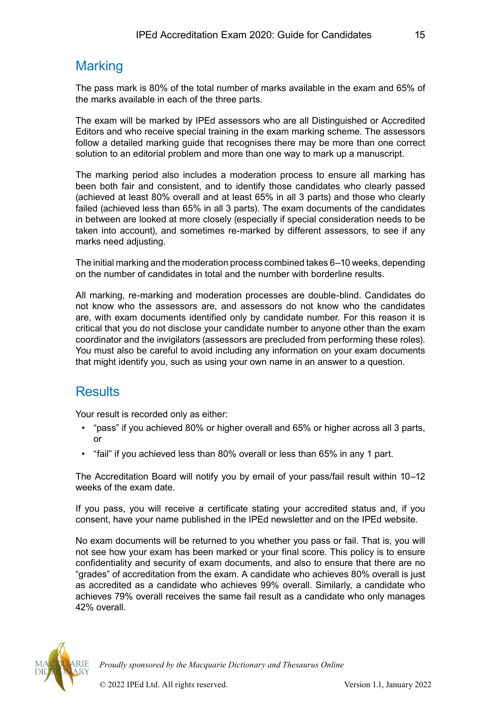# <span id="page-16-0"></span>**Marking**

The pass mark is 80% of the total number of marks available in the exam and 65% of the marks available in each of the three parts.

The exam will be marked by IPEd assessors who are all Distinguished or Accredited Editors and who receive special training in the exam marking scheme. The assessors follow a detailed marking guide that recognises there may be more than one correct solution to an editorial problem and more than one way to mark up a manuscript.

The marking period also includes a moderation process to ensure all marking has been both fair and consistent, and to identify those candidates who clearly passed (achieved at least 80% overall and at least 65% in all 3 parts) and those who clearly failed (achieved less than 65% in all 3 parts). The exam documents of the candidates in between are looked at more closely (especially if special consideration needs to be taken into account), and sometimes re-marked by different assessors, to see if any marks need adjusting.

The initial marking and the moderation process combined takes 6–10 weeks, depending on the number of candidates in total and the number with borderline results.

All marking, re-marking and moderation processes are double-blind. Candidates do not know who the assessors are, and assessors do not know who the candidates are, with exam documents identified only by candidate number. For this reason it is critical that you do not disclose your candidate number to anyone other than the exam coordinator and the invigilators (assessors are precluded from performing these roles). You must also be careful to avoid including any information on your exam documents that might identify you, such as using your own name in an answer to a question.

# **Results**

Your result is recorded only as either:

- "pass" if you achieved 80% or higher overall and 65% or higher across all 3 parts, or
- "fail" if you achieved less than 80% overall or less than 65% in any 1 part.

The Accreditation Board will notify you by email of your pass/fail result within 10–12 weeks of the exam date.

If you pass, you will receive a certificate stating your accredited status and, if you consent, have your name published in the IPEd newsletter and on the IPEd website.

No exam documents will be returned to you whether you pass or fail. That is, you will not see how your exam has been marked or your final score. This policy is to ensure confidentiality and security of exam documents, and also to ensure that there are no "grades" of accreditation from the exam. A candidate who achieves 80% overall is just as accredited as a candidate who achieves 99% overall. Similarly, a candidate who achieves 79% overall receives the same fail result as a candidate who only manages 42% overall.

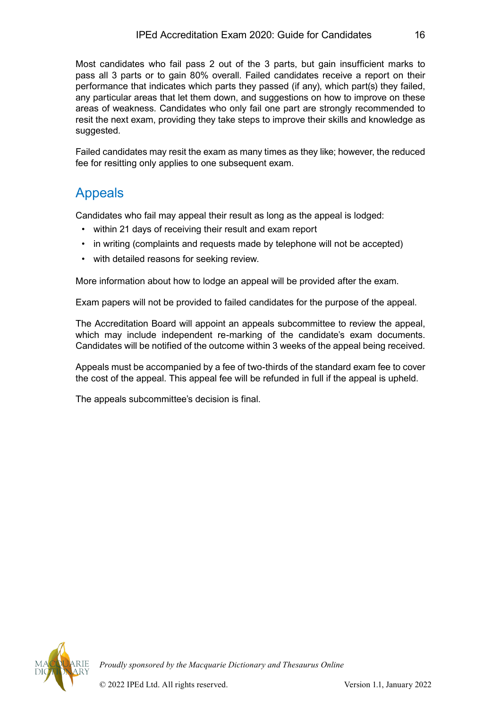<span id="page-17-0"></span>Most candidates who fail pass 2 out of the 3 parts, but gain insufficient marks to pass all 3 parts or to gain 80% overall. Failed candidates receive a report on their performance that indicates which parts they passed (if any), which part(s) they failed, any particular areas that let them down, and suggestions on how to improve on these areas of weakness. Candidates who only fail one part are strongly recommended to resit the next exam, providing they take steps to improve their skills and knowledge as suggested.

Failed candidates may resit the exam as many times as they like; however, the reduced fee for resitting only applies to one subsequent exam.

# Appeals

Candidates who fail may appeal their result as long as the appeal is lodged:

- within 21 days of receiving their result and exam report
- in writing (complaints and requests made by telephone will not be accepted)
- with detailed reasons for seeking review.

More information about how to lodge an appeal will be provided after the exam.

Exam papers will not be provided to failed candidates for the purpose of the appeal.

The Accreditation Board will appoint an appeals subcommittee to review the appeal, which may include independent re-marking of the candidate's exam documents. Candidates will be notified of the outcome within 3 weeks of the appeal being received.

Appeals must be accompanied by a fee of two-thirds of the standard exam fee to cover the cost of the appeal. This appeal fee will be refunded in full if the appeal is upheld.

The appeals subcommittee's decision is final.

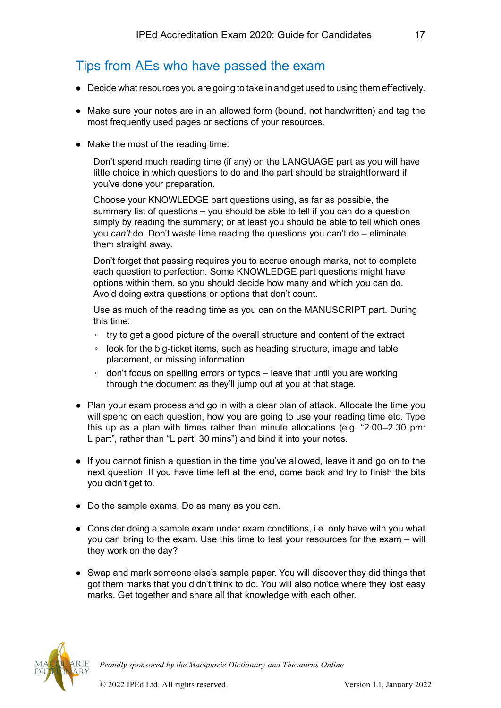# <span id="page-18-0"></span>Tips from AEs who have passed the exam

- Decide what resources you are going to take in and get used to using them effectively.
- Make sure your notes are in an allowed form (bound, not handwritten) and tag the most frequently used pages or sections of your resources.
- Make the most of the reading time:

Don't spend much reading time (if any) on the LANGUAGE part as you will have little choice in which questions to do and the part should be straightforward if you've done your preparation.

Choose your KNOWLEDGE part questions using, as far as possible, the summary list of questions – you should be able to tell if you can do a question simply by reading the summary; or at least you should be able to tell which ones you *can't* do. Don't waste time reading the questions you can't do – eliminate them straight away.

Don't forget that passing requires you to accrue enough marks, not to complete each question to perfection. Some KNOWLEDGE part questions might have options within them, so you should decide how many and which you can do. Avoid doing extra questions or options that don't count.

Use as much of the reading time as you can on the MANUSCRIPT part. During this time:

- try to get a good picture of the overall structure and content of the extract
- look for the big-ticket items, such as heading structure, image and table placement, or missing information
- don't focus on spelling errors or typos leave that until you are working through the document as they'll jump out at you at that stage.
- Plan your exam process and go in with a clear plan of attack. Allocate the time you will spend on each question, how you are going to use your reading time etc. Type this up as a plan with times rather than minute allocations (e.g. "2.00–2.30 pm: L part", rather than "L part: 30 mins") and bind it into your notes.
- If you cannot finish a question in the time you've allowed, leave it and go on to the next question. If you have time left at the end, come back and try to finish the bits you didn't get to.
- Do the sample exams. Do as many as you can.
- Consider doing a sample exam under exam conditions, i.e. only have with you what you can bring to the exam. Use this time to test your resources for the exam – will they work on the day?
- Swap and mark someone else's sample paper. You will discover they did things that got them marks that you didn't think to do. You will also notice where they lost easy marks. Get together and share all that knowledge with each other.